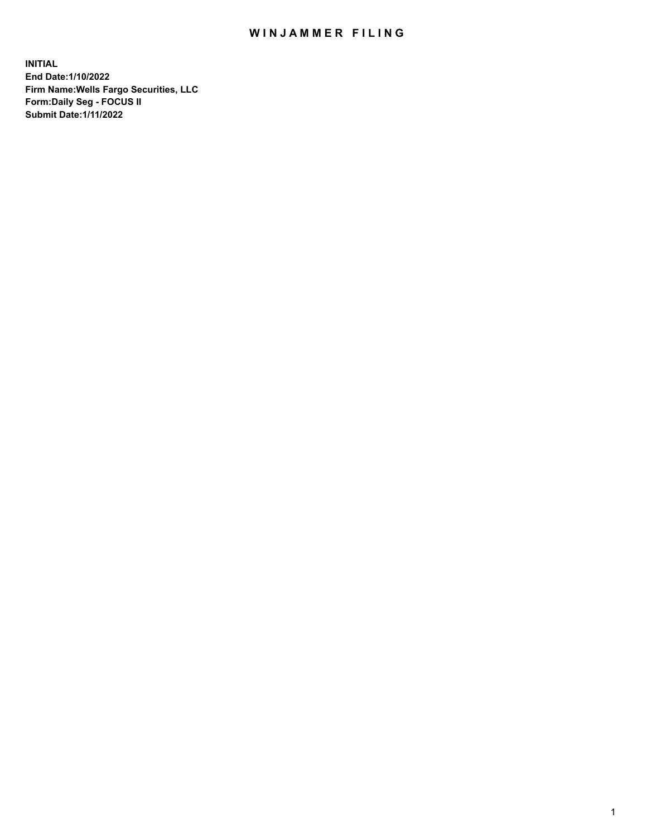## WIN JAMMER FILING

**INITIAL End Date:1/10/2022 Firm Name:Wells Fargo Securities, LLC Form:Daily Seg - FOCUS II Submit Date:1/11/2022**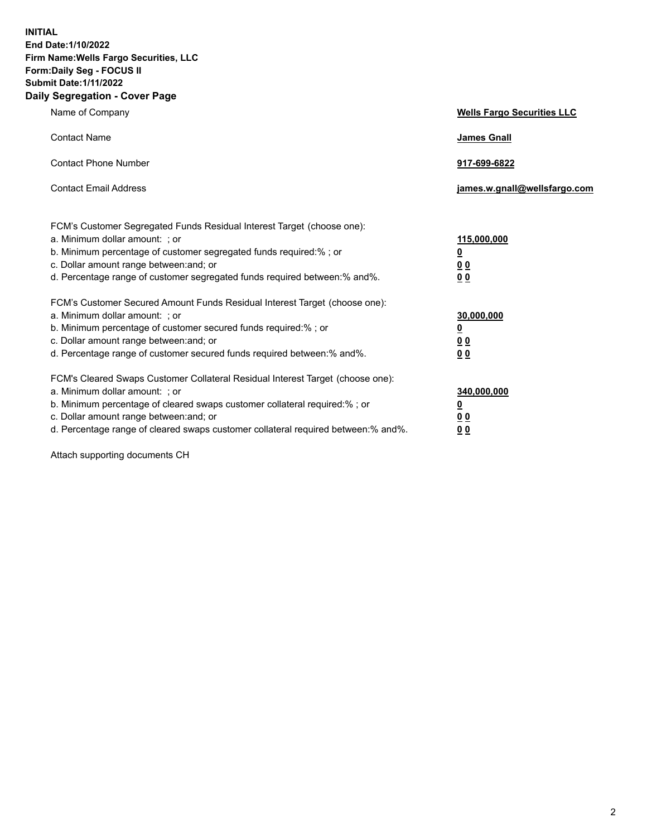**INITIAL End Date:1/10/2022 Firm Name:Wells Fargo Securities, LLC Form:Daily Seg - FOCUS II Submit Date:1/11/2022 Daily Segregation - Cover Page**

| Name of Company                                                                                                                                                                                                                                                                                                                | <b>Wells Fargo Securities LLC</b>                          |
|--------------------------------------------------------------------------------------------------------------------------------------------------------------------------------------------------------------------------------------------------------------------------------------------------------------------------------|------------------------------------------------------------|
| <b>Contact Name</b>                                                                                                                                                                                                                                                                                                            | <b>James Gnall</b>                                         |
| <b>Contact Phone Number</b>                                                                                                                                                                                                                                                                                                    | 917-699-6822                                               |
| <b>Contact Email Address</b>                                                                                                                                                                                                                                                                                                   | james.w.gnall@wellsfargo.com                               |
| FCM's Customer Segregated Funds Residual Interest Target (choose one):<br>a. Minimum dollar amount: ; or<br>b. Minimum percentage of customer segregated funds required:% ; or<br>c. Dollar amount range between: and; or<br>d. Percentage range of customer segregated funds required between:% and%.                         | 115,000,000<br>$\underline{\mathbf{0}}$<br>00<br>00        |
| FCM's Customer Secured Amount Funds Residual Interest Target (choose one):<br>a. Minimum dollar amount: ; or<br>b. Minimum percentage of customer secured funds required:%; or<br>c. Dollar amount range between: and; or<br>d. Percentage range of customer secured funds required between: % and %.                          | 30,000,000<br><u>0</u><br>0 <sub>0</sub><br>0 <sub>0</sub> |
| FCM's Cleared Swaps Customer Collateral Residual Interest Target (choose one):<br>a. Minimum dollar amount: ; or<br>b. Minimum percentage of cleared swaps customer collateral required:% ; or<br>c. Dollar amount range between: and; or<br>d. Percentage range of cleared swaps customer collateral required between:% and%. | 340,000,000<br>$\underline{\mathbf{0}}$<br>00<br><u>00</u> |

Attach supporting documents CH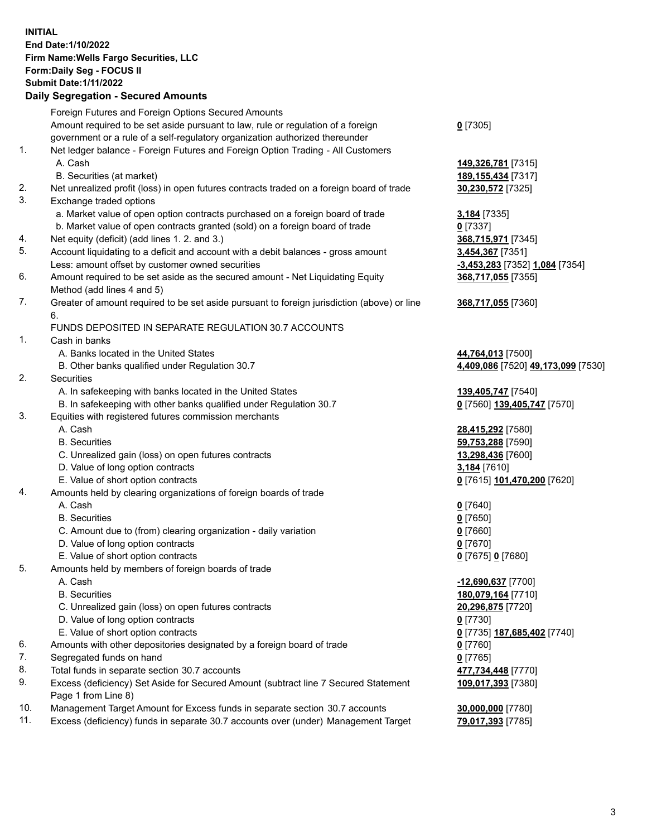**INITIAL End Date:1/10/2022 Firm Name:Wells Fargo Securities, LLC Form:Daily Seg - FOCUS II Submit Date:1/11/2022 Daily Segregation - Secured Amounts**

## Foreign Futures and Foreign Options Secured Amounts Amount required to be set aside pursuant to law, rule or regulation of a foreign government or a rule of a self-regulatory organization authorized thereunder **0** [7305] 1. Net ledger balance - Foreign Futures and Foreign Option Trading - All Customers A. Cash **149,326,781** [7315] B. Securities (at market) **189,155,434** [7317] 2. Net unrealized profit (loss) in open futures contracts traded on a foreign board of trade **30,230,572** [7325] 3. Exchange traded options a. Market value of open option contracts purchased on a foreign board of trade **3,184** [7335] b. Market value of open contracts granted (sold) on a foreign board of trade **0** [7337] 4. Net equity (deficit) (add lines 1. 2. and 3.) **368,715,971** [7345] 5. Account liquidating to a deficit and account with a debit balances - gross amount **3,454,367** [7351] Less: amount offset by customer owned securities **-3,453,283** [7352] **1,084** [7354] 6. Amount required to be set aside as the secured amount - Net Liquidating Equity Method (add lines 4 and 5) **368,717,055** [7355] 7. Greater of amount required to be set aside pursuant to foreign jurisdiction (above) or line 6. **368,717,055** [7360] FUNDS DEPOSITED IN SEPARATE REGULATION 30.7 ACCOUNTS 1. Cash in banks A. Banks located in the United States **44,764,013** [7500] B. Other banks qualified under Regulation 30.7 **4,409,086** [7520] **49,173,099** [7530] 2. Securities A. In safekeeping with banks located in the United States **139,405,747** [7540] B. In safekeeping with other banks qualified under Regulation 30.7 **0** [7560] **139,405,747** [7570] 3. Equities with registered futures commission merchants A. Cash **28,415,292** [7580] B. Securities **59,753,288** [7590] C. Unrealized gain (loss) on open futures contracts **13,298,436** [7600] D. Value of long option contracts **3,184** [7610] E. Value of short option contracts **0** [7615] **101,470,200** [7620] 4. Amounts held by clearing organizations of foreign boards of trade A. Cash **0** [7640] B. Securities **0** [7650] C. Amount due to (from) clearing organization - daily variation **0** [7660] D. Value of long option contracts **0** [7670] E. Value of short option contracts **0** [7675] **0** [7680] 5. Amounts held by members of foreign boards of trade A. Cash **-12,690,637** [7700] B. Securities **180,079,164** [7710] C. Unrealized gain (loss) on open futures contracts **20,296,875** [7720] D. Value of long option contracts **0** [7730] E. Value of short option contracts **0** [7735] **187,685,402** [7740] 6. Amounts with other depositories designated by a foreign board of trade **0** [7760] 7. Segregated funds on hand **0** [7765] 8. Total funds in separate section 30.7 accounts **477,734,448** [7770] 9. Excess (deficiency) Set Aside for Secured Amount (subtract line 7 Secured Statement Page 1 from Line 8) **109,017,393** [7380] 10. Management Target Amount for Excess funds in separate section 30.7 accounts **30,000,000** [7780] 11. Excess (deficiency) funds in separate 30.7 accounts over (under) Management Target **79,017,393** [7785]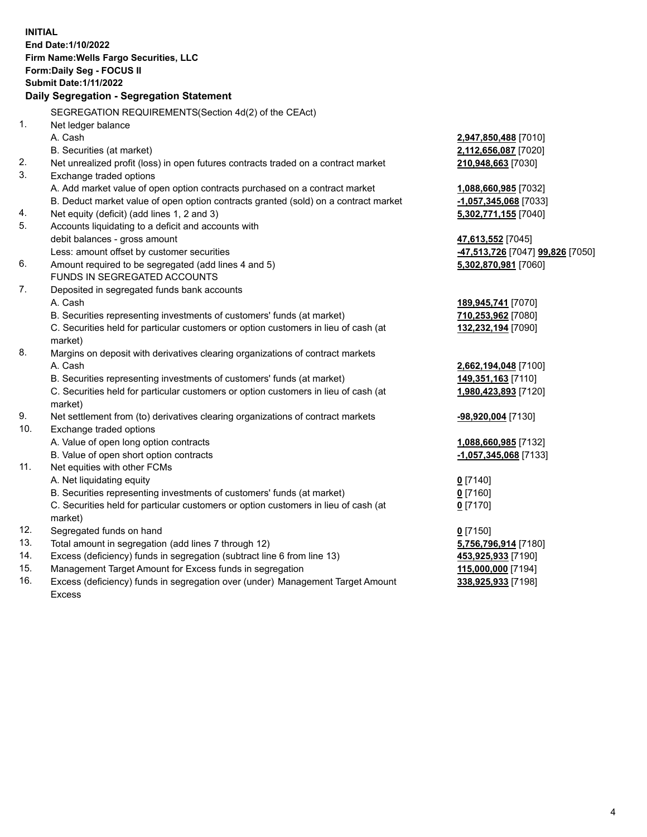**INITIAL End Date:1/10/2022 Firm Name:Wells Fargo Securities, LLC Form:Daily Seg - FOCUS II Submit Date:1/11/2022 Daily Segregation - Segregation Statement** SEGREGATION REQUIREMENTS(Section 4d(2) of the CEAct) 1. Net ledger balance A. Cash **2,947,850,488** [7010] B. Securities (at market) **2,112,656,087** [7020] 2. Net unrealized profit (loss) in open futures contracts traded on a contract market **210,948,663** [7030] 3. Exchange traded options A. Add market value of open option contracts purchased on a contract market **1,088,660,985** [7032] B. Deduct market value of open option contracts granted (sold) on a contract market **-1,057,345,068** [7033] 4. Net equity (deficit) (add lines 1, 2 and 3) **5,302,771,155** [7040] 5. Accounts liquidating to a deficit and accounts with debit balances - gross amount **47,613,552** [7045] Less: amount offset by customer securities **-47,513,726** [7047] **99,826** [7050] 6. Amount required to be segregated (add lines 4 and 5) **5,302,870,981** [7060] FUNDS IN SEGREGATED ACCOUNTS 7. Deposited in segregated funds bank accounts A. Cash **189,945,741** [7070] B. Securities representing investments of customers' funds (at market) **710,253,962** [7080] C. Securities held for particular customers or option customers in lieu of cash (at market) **132,232,194** [7090] 8. Margins on deposit with derivatives clearing organizations of contract markets A. Cash **2,662,194,048** [7100] B. Securities representing investments of customers' funds (at market) **149,351,163** [7110] C. Securities held for particular customers or option customers in lieu of cash (at market) **1,980,423,893** [7120] 9. Net settlement from (to) derivatives clearing organizations of contract markets **-98,920,004** [7130] 10. Exchange traded options A. Value of open long option contracts **1,088,660,985** [7132] B. Value of open short option contracts **-1,057,345,068** [7133] 11. Net equities with other FCMs A. Net liquidating equity **0** [7140] B. Securities representing investments of customers' funds (at market) **0** [7160] C. Securities held for particular customers or option customers in lieu of cash (at market) **0** [7170] 12. Segregated funds on hand **0** [7150] 13. Total amount in segregation (add lines 7 through 12) **5,756,796,914** [7180] 14. Excess (deficiency) funds in segregation (subtract line 6 from line 13) **453,925,933** [7190] 15. Management Target Amount for Excess funds in segregation **115,000,000** [7194] 16. Excess (deficiency) funds in segregation over (under) Management Target Amount **338,925,933** [7198]

Excess